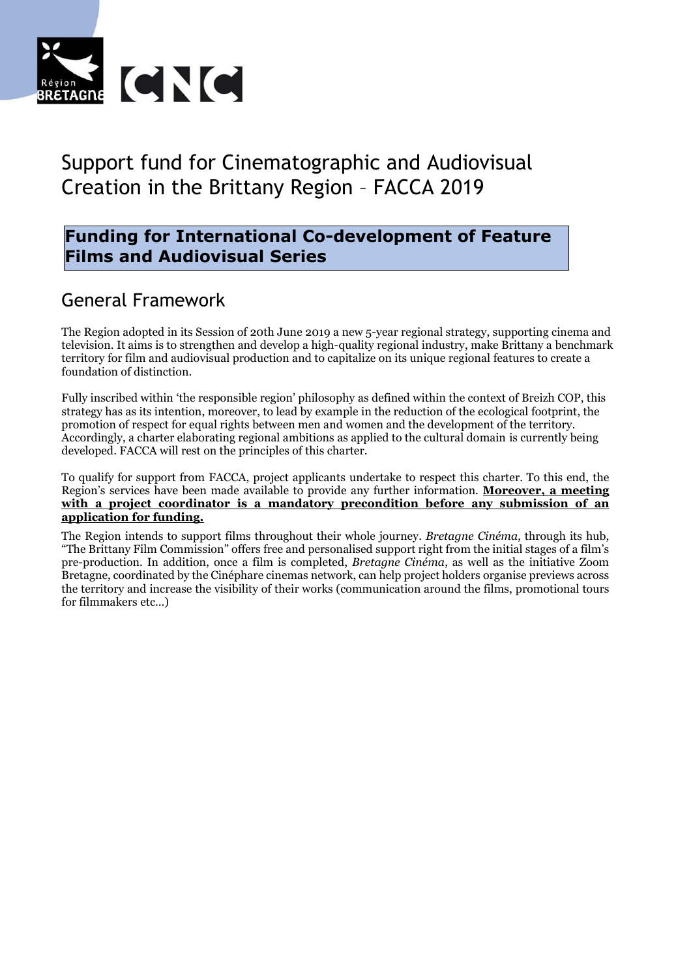

# Support fund for Cinematographic and Audiovisual Creation in the Brittany Region – FACCA 2019

#### **Funding for International Co-development of Feature Films and Audiovisual Series**

### General Framework

The Region adopted in its Session of 20th June 2019 a new 5-year regional strategy, supporting cinema and television. It aims is to strengthen and develop a high-quality regional industry, make Brittany a benchmark territory for film and audiovisual production and to capitalize on its unique regional features to create a foundation of distinction.

Fully inscribed within 'the responsible region' philosophy as defined within the context of Breizh COP, this strategy has as its intention, moreover, to lead by example in the reduction of the ecological footprint, the promotion of respect for equal rights between men and women and the development of the territory. Accordingly, a charter elaborating regional ambitions as applied to the cultural domain is currently being developed. FACCA will rest on the principles of this charter.

To qualify for support from FACCA, project applicants undertake to respect this charter. To this end, the Region's services have been made available to provide any further information. **Moreover, a meeting with a project coordinator is a mandatory precondition before any submission of an application for funding.**

The Region intends to support films throughout their whole journey. *Bretagne Cinéma*, through its hub, "The Brittany Film Commission" offers free and personalised support right from the initial stages of a film's pre-production. In addition, once a film is completed, *Bretagne Cinéma*, as well as the initiative Zoom Bretagne, coordinated by the Cinéphare cinemas network, can help project holders organise previews across the territory and increase the visibility of their works (communication around the films, promotional tours for filmmakers etc…)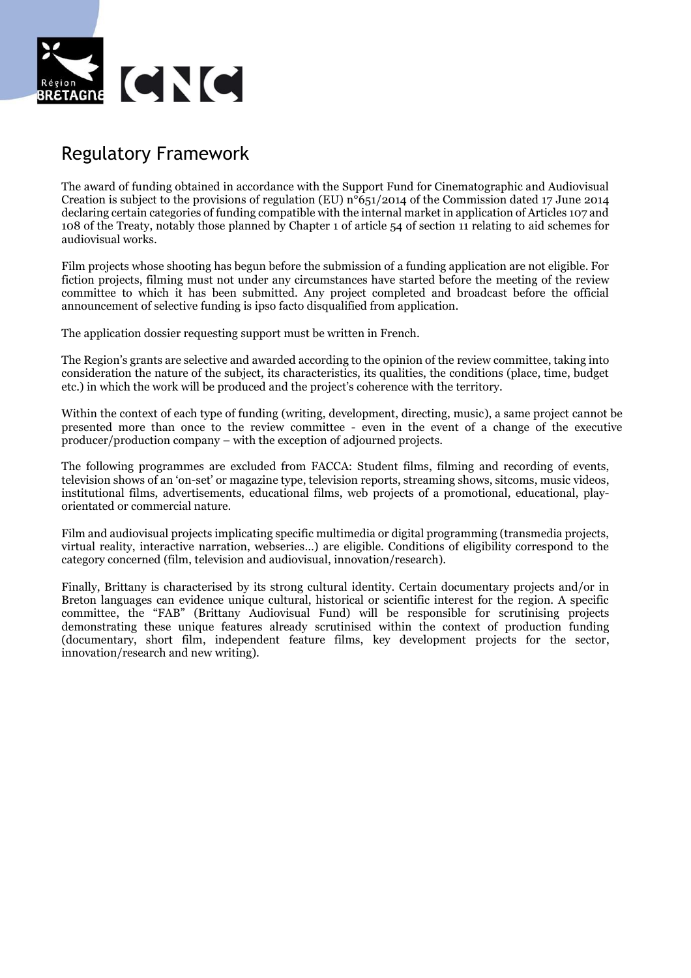

### Regulatory Framework

The award of funding obtained in accordance with the Support Fund for Cinematographic and Audiovisual Creation is subject to the provisions of regulation (EU)  $n^{\circ}651/2014$  of the Commission dated 17 June 2014 declaring certain categories of funding compatible with the internal market in application of Articles 107 and 108 of the Treaty, notably those planned by Chapter 1 of article 54 of section 11 relating to aid schemes for audiovisual works.

Film projects whose shooting has begun before the submission of a funding application are not eligible. For fiction projects, filming must not under any circumstances have started before the meeting of the review committee to which it has been submitted. Any project completed and broadcast before the official announcement of selective funding is ipso facto disqualified from application.

The application dossier requesting support must be written in French.

The Region's grants are selective and awarded according to the opinion of the review committee, taking into consideration the nature of the subject, its characteristics, its qualities, the conditions (place, time, budget etc.) in which the work will be produced and the project's coherence with the territory.

Within the context of each type of funding (writing, development, directing, music), a same project cannot be presented more than once to the review committee - even in the event of a change of the executive producer/production company – with the exception of adjourned projects.

The following programmes are excluded from FACCA: Student films, filming and recording of events, television shows of an 'on-set' or magazine type, television reports, streaming shows, sitcoms, music videos, institutional films, advertisements, educational films, web projects of a promotional, educational, playorientated or commercial nature.

Film and audiovisual projects implicating specific multimedia or digital programming (transmedia projects, virtual reality, interactive narration, webseries…) are eligible. Conditions of eligibility correspond to the category concerned (film, television and audiovisual, innovation/research).

Finally, Brittany is characterised by its strong cultural identity. Certain documentary projects and/or in Breton languages can evidence unique cultural, historical or scientific interest for the region. A specific committee, the "FAB" (Brittany Audiovisual Fund) will be responsible for scrutinising projects demonstrating these unique features already scrutinised within the context of production funding (documentary, short film, independent feature films, key development projects for the sector, innovation/research and new writing).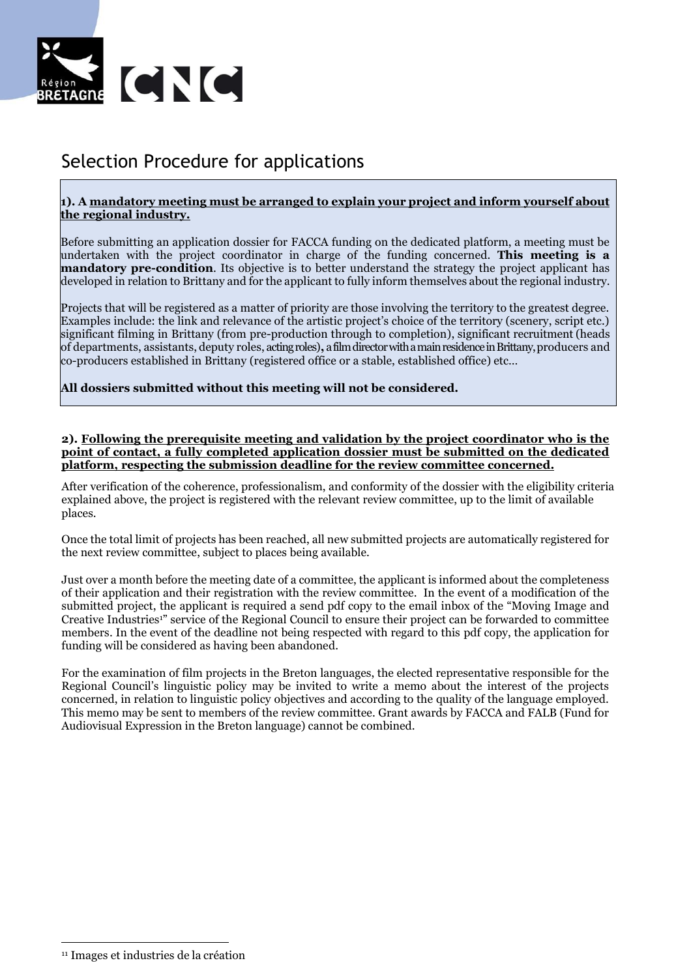

### Selection Procedure for applications

#### **1). A mandatory meeting must be arranged to explain your project and inform yourself about the regional industry.**

Before submitting an application dossier for FACCA funding on the dedicated platform, a meeting must be undertaken with the project coordinator in charge of the funding concerned. **This meeting is a mandatory pre-condition**. Its objective is to better understand the strategy the project applicant has developed in relation to Brittany and for the applicant to fully inform themselves about the regional industry.

Projects that will be registered as a matter of priority are those involving the territory to the greatest degree. Examples include: the link and relevance of the artistic project's choice of the territory (scenery, script etc.) significant filming in Brittany (from pre-production through to completion), significant recruitment (heads of departments, assistants, deputy roles, acting roles)**,** a film directorwith a main residence in Brittany, producers and co-producers established in Brittany (registered office or a stable, established office) etc…

**All dossiers submitted without this meeting will not be considered.** 

#### **2). Following the prerequisite meeting and validation by the project coordinator who is the point of contact, a fully completed application dossier must be submitted on the dedicated platform, respecting the submission deadline for the review committee concerned.**

After verification of the coherence, professionalism, and conformity of the dossier with the eligibility criteria explained above, the project is registered with the relevant review committee, up to the limit of available places.

Once the total limit of projects has been reached, all new submitted projects are automatically registered for the next review committee, subject to places being available.

Just over a month before the meeting date of a committee, the applicant is informed about the completeness of their application and their registration with the review committee. In the event of a modification of the submitted project, the applicant is required a send pdf copy to the email inbox of the "Moving Image and Creative Industries<sup>1"</sup> service of the Regional Council to ensure their project can be forwarded to committee members. In the event of the deadline not being respected with regard to this pdf copy, the application for funding will be considered as having been abandoned.

For the examination of film projects in the Breton languages, the elected representative responsible for the Regional Council's linguistic policy may be invited to write a memo about the interest of the projects concerned, in relation to linguistic policy objectives and according to the quality of the language employed. This memo may be sent to members of the review committee. Grant awards by FACCA and FALB (Fund for Audiovisual Expression in the Breton language) cannot be combined.

 $\overline{a}$ <sup>11</sup> Images et industries de la création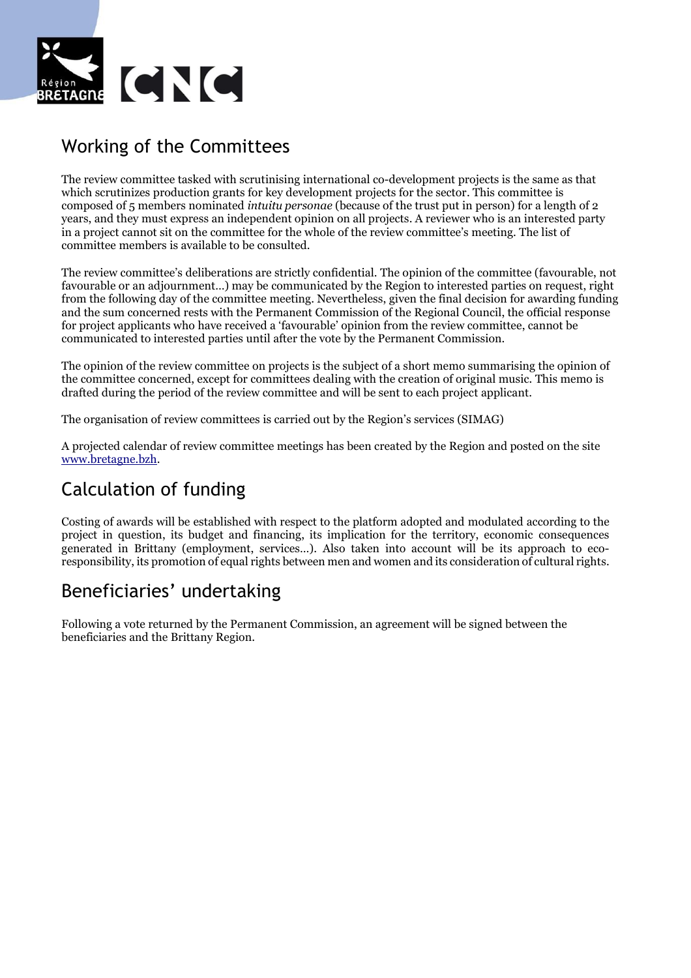

## Working of the Committees

The review committee tasked with scrutinising international co-development projects is the same as that which scrutinizes production grants for key development projects for the sector. This committee is composed of 5 members nominated *intuitu personae* (because of the trust put in person) for a length of 2 years, and they must express an independent opinion on all projects. A reviewer who is an interested party in a project cannot sit on the committee for the whole of the review committee's meeting. The list of committee members is available to be consulted.

The review committee's deliberations are strictly confidential. The opinion of the committee (favourable, not favourable or an adjournment…) may be communicated by the Region to interested parties on request, right from the following day of the committee meeting. Nevertheless, given the final decision for awarding funding and the sum concerned rests with the Permanent Commission of the Regional Council, the official response for project applicants who have received a 'favourable' opinion from the review committee, cannot be communicated to interested parties until after the vote by the Permanent Commission.

The opinion of the review committee on projects is the subject of a short memo summarising the opinion of the committee concerned, except for committees dealing with the creation of original music. This memo is drafted during the period of the review committee and will be sent to each project applicant.

The organisation of review committees is carried out by the Region's services (SIMAG)

A projected calendar of review committee meetings has been created by the Region and posted on the site [www.bretagne.bzh.](http://www.bretagne.bzh/)

## Calculation of funding

Costing of awards will be established with respect to the platform adopted and modulated according to the project in question, its budget and financing, its implication for the territory, economic consequences generated in Brittany (employment, services…). Also taken into account will be its approach to ecoresponsibility, its promotion of equal rights between men and women and its consideration of cultural rights.

### Beneficiaries' undertaking

Following a vote returned by the Permanent Commission, an agreement will be signed between the beneficiaries and the Brittany Region.